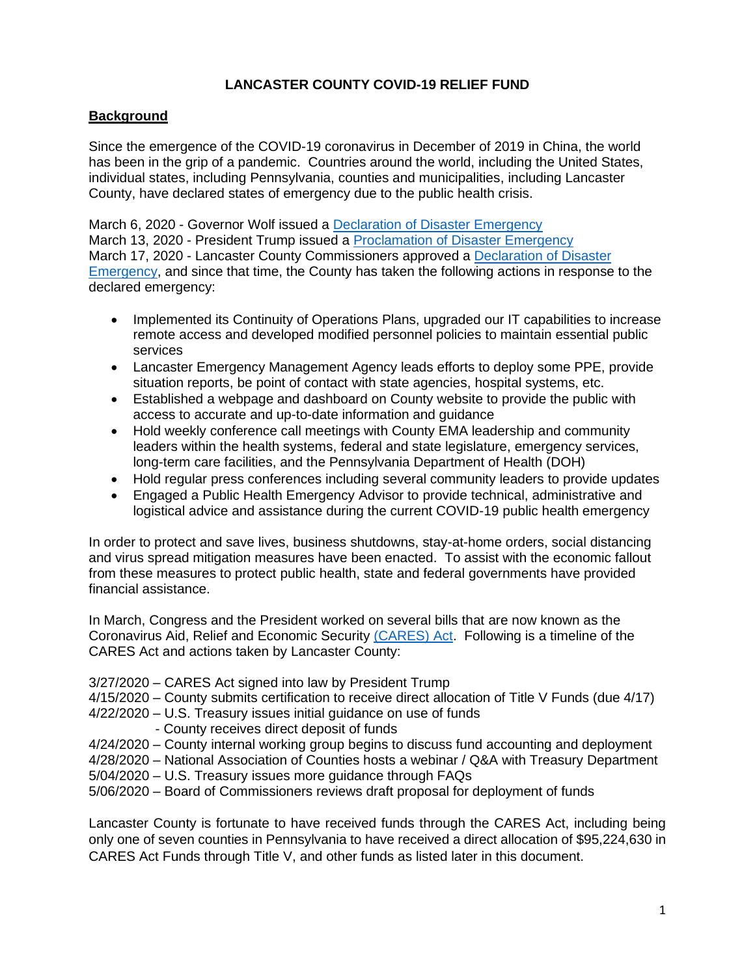# **LANCASTER COUNTY COVID-19 RELIEF FUND**

## **Background**

Since the emergence of the COVID-19 coronavirus in December of 2019 in China, the world has been in the grip of a pandemic. Countries around the world, including the United States, individual states, including Pennsylvania, counties and municipalities, including Lancaster County, have declared states of emergency due to the public health crisis.

March 6, 2020 - Governor Wolf issued a [Declaration of Disaster Emergency](https://www.governor.pa.gov/newsroom/gov-wolf-signs-covid-19-disaster-declaration-to-provide-increased-support-for-state-response/) March 13, 2020 - President Trump issued a [Proclamation of Disaster Emergency](https://www.whitehouse.gov/presidential-actions/proclamation-declaring-national-emergency-concerning-novel-coronavirus-disease-covid-19-outbreak/) March 17, 2020 - Lancaster County Commissioners approved a [Declaration of Disaster](https://co.lancaster.pa.us/DocumentCenter/View/11169/Media-Alert---County-Declaration-of-Disaster-Emergency)  [Emergency,](https://co.lancaster.pa.us/DocumentCenter/View/11169/Media-Alert---County-Declaration-of-Disaster-Emergency) and since that time, the County has taken the following actions in response to the declared emergency:

- Implemented its Continuity of Operations Plans, upgraded our IT capabilities to increase remote access and developed modified personnel policies to maintain essential public services
- Lancaster Emergency Management Agency leads efforts to deploy some PPE, provide situation reports, be point of contact with state agencies, hospital systems, etc.
- Established a webpage and dashboard on County website to provide the public with access to accurate and up-to-date information and guidance
- Hold weekly conference call meetings with County EMA leadership and community leaders within the health systems, federal and state legislature, emergency services, long-term care facilities, and the Pennsylvania Department of Health (DOH)
- Hold regular press conferences including several community leaders to provide updates
- Engaged a Public Health Emergency Advisor to provide technical, administrative and logistical advice and assistance during the current COVID-19 public health emergency

In order to protect and save lives, business shutdowns, stay-at-home orders, social distancing and virus spread mitigation measures have been enacted. To assist with the economic fallout from these measures to protect public health, state and federal governments have provided financial assistance.

In March, Congress and the President worked on several bills that are now known as the Coronavirus Aid, Relief and Economic Security [\(CARES\) Act.](https://home.treasury.gov/policy-issues/cares) Following is a timeline of the CARES Act and actions taken by Lancaster County:

3/27/2020 – CARES Act signed into law by President Trump

4/15/2020 – County submits certification to receive direct allocation of Title V Funds (due 4/17)

- 4/22/2020 U.S. Treasury issues initial guidance on use of funds
	- County receives direct deposit of funds
- 4/24/2020 County internal working group begins to discuss fund accounting and deployment

4/28/2020 – National Association of Counties hosts a webinar / Q&A with Treasury Department 5/04/2020 – U.S. Treasury issues more guidance through FAQs

5/06/2020 – Board of Commissioners reviews draft proposal for deployment of funds

Lancaster County is fortunate to have received funds through the CARES Act, including being only one of seven counties in Pennsylvania to have received a direct allocation of \$95,224,630 in CARES Act Funds through Title V, and other funds as listed later in this document.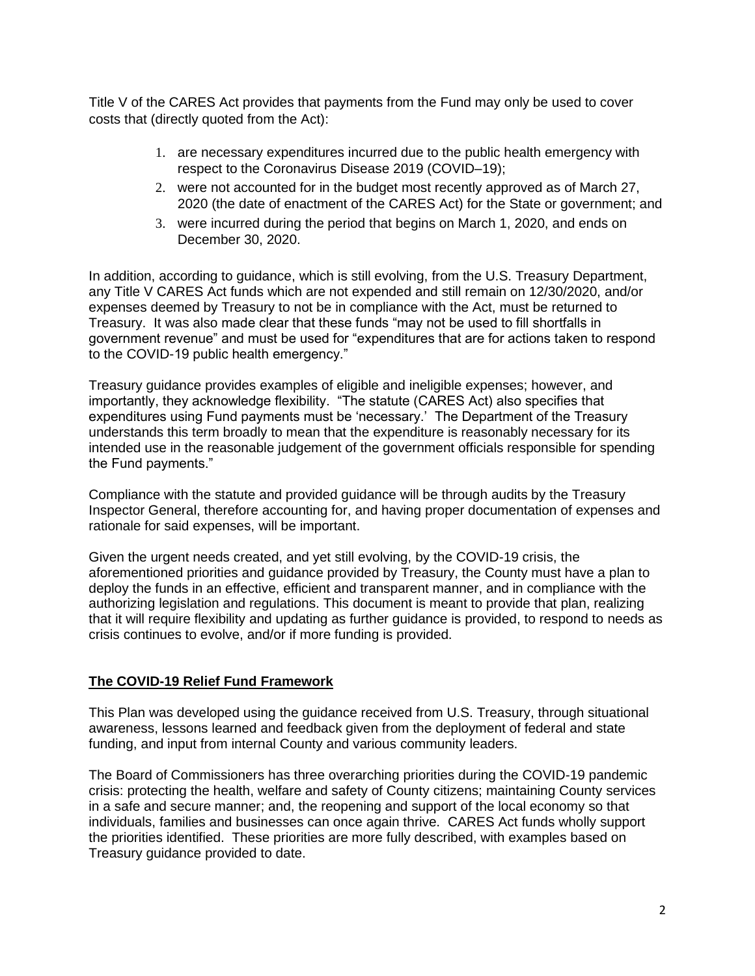Title V of the CARES Act provides that payments from the Fund may only be used to cover costs that (directly quoted from the Act):

- 1. are necessary expenditures incurred due to the public health emergency with respect to the Coronavirus Disease 2019 (COVID–19);
- 2. were not accounted for in the budget most recently approved as of March 27, 2020 (the date of enactment of the CARES Act) for the State or government; and
- 3. were incurred during the period that begins on March 1, 2020, and ends on December 30, 2020.

In addition, according to guidance, which is still evolving, from the U.S. Treasury Department, any Title V CARES Act funds which are not expended and still remain on 12/30/2020, and/or expenses deemed by Treasury to not be in compliance with the Act, must be returned to Treasury. It was also made clear that these funds "may not be used to fill shortfalls in government revenue" and must be used for "expenditures that are for actions taken to respond to the COVID-19 public health emergency."

Treasury guidance provides examples of eligible and ineligible expenses; however, and importantly, they acknowledge flexibility. "The statute (CARES Act) also specifies that expenditures using Fund payments must be 'necessary.' The Department of the Treasury understands this term broadly to mean that the expenditure is reasonably necessary for its intended use in the reasonable judgement of the government officials responsible for spending the Fund payments."

Compliance with the statute and provided guidance will be through audits by the Treasury Inspector General, therefore accounting for, and having proper documentation of expenses and rationale for said expenses, will be important.

Given the urgent needs created, and yet still evolving, by the COVID-19 crisis, the aforementioned priorities and guidance provided by Treasury, the County must have a plan to deploy the funds in an effective, efficient and transparent manner, and in compliance with the authorizing legislation and regulations. This document is meant to provide that plan, realizing that it will require flexibility and updating as further guidance is provided, to respond to needs as crisis continues to evolve, and/or if more funding is provided.

## **The COVID-19 Relief Fund Framework**

This Plan was developed using the guidance received from U.S. Treasury, through situational awareness, lessons learned and feedback given from the deployment of federal and state funding, and input from internal County and various community leaders.

The Board of Commissioners has three overarching priorities during the COVID-19 pandemic crisis: protecting the health, welfare and safety of County citizens; maintaining County services in a safe and secure manner; and, the reopening and support of the local economy so that individuals, families and businesses can once again thrive. CARES Act funds wholly support the priorities identified. These priorities are more fully described, with examples based on Treasury guidance provided to date.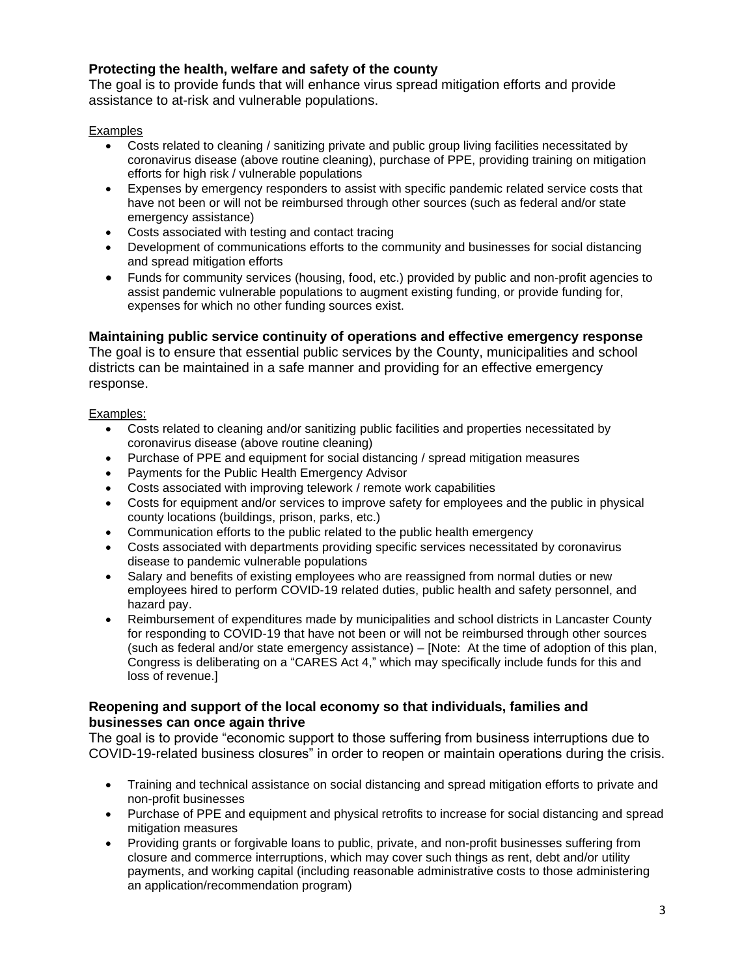# **Protecting the health, welfare and safety of the county**

The goal is to provide funds that will enhance virus spread mitigation efforts and provide assistance to at-risk and vulnerable populations.

#### **Examples**

- Costs related to cleaning / sanitizing private and public group living facilities necessitated by coronavirus disease (above routine cleaning), purchase of PPE, providing training on mitigation efforts for high risk / vulnerable populations
- Expenses by emergency responders to assist with specific pandemic related service costs that have not been or will not be reimbursed through other sources (such as federal and/or state emergency assistance)
- Costs associated with testing and contact tracing
- Development of communications efforts to the community and businesses for social distancing and spread mitigation efforts
- Funds for community services (housing, food, etc.) provided by public and non-profit agencies to assist pandemic vulnerable populations to augment existing funding, or provide funding for, expenses for which no other funding sources exist.

## **Maintaining public service continuity of operations and effective emergency response**

The goal is to ensure that essential public services by the County, municipalities and school districts can be maintained in a safe manner and providing for an effective emergency response.

#### Examples:

- Costs related to cleaning and/or sanitizing public facilities and properties necessitated by coronavirus disease (above routine cleaning)
- Purchase of PPE and equipment for social distancing / spread mitigation measures
- Payments for the Public Health Emergency Advisor
- Costs associated with improving telework / remote work capabilities
- Costs for equipment and/or services to improve safety for employees and the public in physical county locations (buildings, prison, parks, etc.)
- Communication efforts to the public related to the public health emergency
- Costs associated with departments providing specific services necessitated by coronavirus disease to pandemic vulnerable populations
- Salary and benefits of existing employees who are reassigned from normal duties or new employees hired to perform COVID-19 related duties, public health and safety personnel, and hazard pay.
- Reimbursement of expenditures made by municipalities and school districts in Lancaster County for responding to COVID-19 that have not been or will not be reimbursed through other sources (such as federal and/or state emergency assistance) – [Note: At the time of adoption of this plan, Congress is deliberating on a "CARES Act 4," which may specifically include funds for this and loss of revenue.]

### **Reopening and support of the local economy so that individuals, families and businesses can once again thrive**

The goal is to provide "economic support to those suffering from business interruptions due to COVID-19-related business closures" in order to reopen or maintain operations during the crisis.

- Training and technical assistance on social distancing and spread mitigation efforts to private and non-profit businesses
- Purchase of PPE and equipment and physical retrofits to increase for social distancing and spread mitigation measures
- Providing grants or forgivable loans to public, private, and non-profit businesses suffering from closure and commerce interruptions, which may cover such things as rent, debt and/or utility payments, and working capital (including reasonable administrative costs to those administering an application/recommendation program)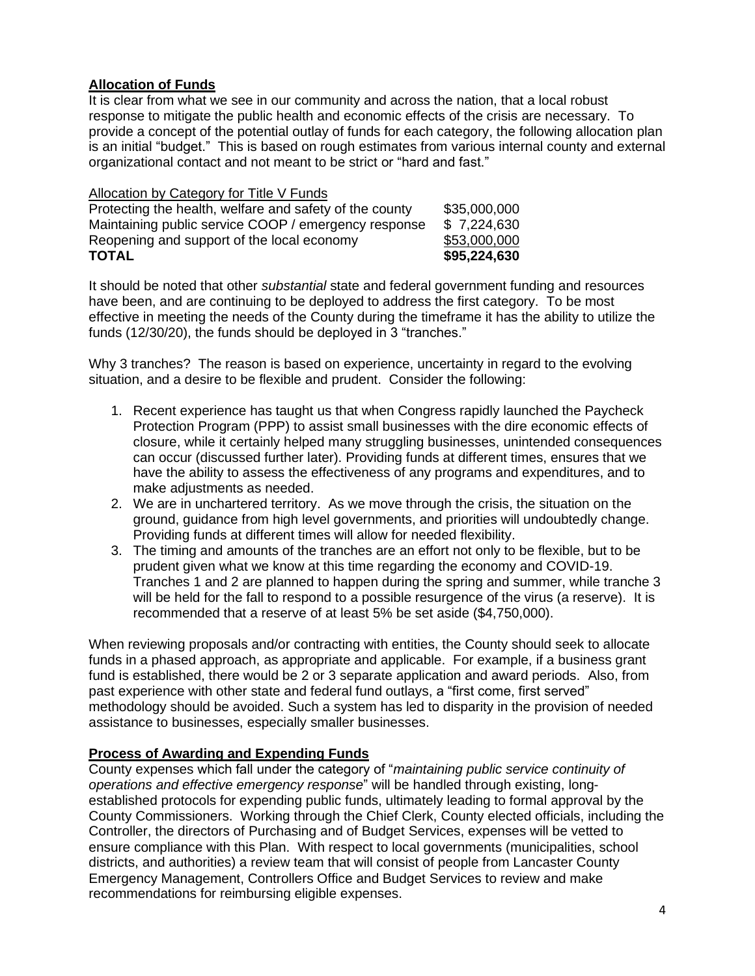# **Allocation of Funds**

It is clear from what we see in our community and across the nation, that a local robust response to mitigate the public health and economic effects of the crisis are necessary. To provide a concept of the potential outlay of funds for each category, the following allocation plan is an initial "budget." This is based on rough estimates from various internal county and external organizational contact and not meant to be strict or "hard and fast."

| Allocation by Category for Title V Funds |  |
|------------------------------------------|--|
|------------------------------------------|--|

| <b>TOTAL</b>                                            | \$95,224,630 |
|---------------------------------------------------------|--------------|
| Reopening and support of the local economy              | \$53,000,000 |
| Maintaining public service COOP / emergency response    | \$7,224,630  |
| Protecting the health, welfare and safety of the county | \$35,000,000 |

It should be noted that other *substantial* state and federal government funding and resources have been, and are continuing to be deployed to address the first category. To be most effective in meeting the needs of the County during the timeframe it has the ability to utilize the funds (12/30/20), the funds should be deployed in 3 "tranches."

Why 3 tranches? The reason is based on experience, uncertainty in regard to the evolving situation, and a desire to be flexible and prudent. Consider the following:

- 1. Recent experience has taught us that when Congress rapidly launched the Paycheck Protection Program (PPP) to assist small businesses with the dire economic effects of closure, while it certainly helped many struggling businesses, unintended consequences can occur (discussed further later). Providing funds at different times, ensures that we have the ability to assess the effectiveness of any programs and expenditures, and to make adjustments as needed.
- 2. We are in unchartered territory. As we move through the crisis, the situation on the ground, guidance from high level governments, and priorities will undoubtedly change. Providing funds at different times will allow for needed flexibility.
- 3. The timing and amounts of the tranches are an effort not only to be flexible, but to be prudent given what we know at this time regarding the economy and COVID-19. Tranches 1 and 2 are planned to happen during the spring and summer, while tranche 3 will be held for the fall to respond to a possible resurgence of the virus (a reserve). It is recommended that a reserve of at least 5% be set aside (\$4,750,000).

When reviewing proposals and/or contracting with entities, the County should seek to allocate funds in a phased approach, as appropriate and applicable. For example, if a business grant fund is established, there would be 2 or 3 separate application and award periods. Also, from past experience with other state and federal fund outlays, a "first come, first served" methodology should be avoided. Such a system has led to disparity in the provision of needed assistance to businesses, especially smaller businesses.

## **Process of Awarding and Expending Funds**

County expenses which fall under the category of "*maintaining public service continuity of operations and effective emergency response*" will be handled through existing, longestablished protocols for expending public funds, ultimately leading to formal approval by the County Commissioners. Working through the Chief Clerk, County elected officials, including the Controller, the directors of Purchasing and of Budget Services, expenses will be vetted to ensure compliance with this Plan. With respect to local governments (municipalities, school districts, and authorities) a review team that will consist of people from Lancaster County Emergency Management, Controllers Office and Budget Services to review and make recommendations for reimbursing eligible expenses.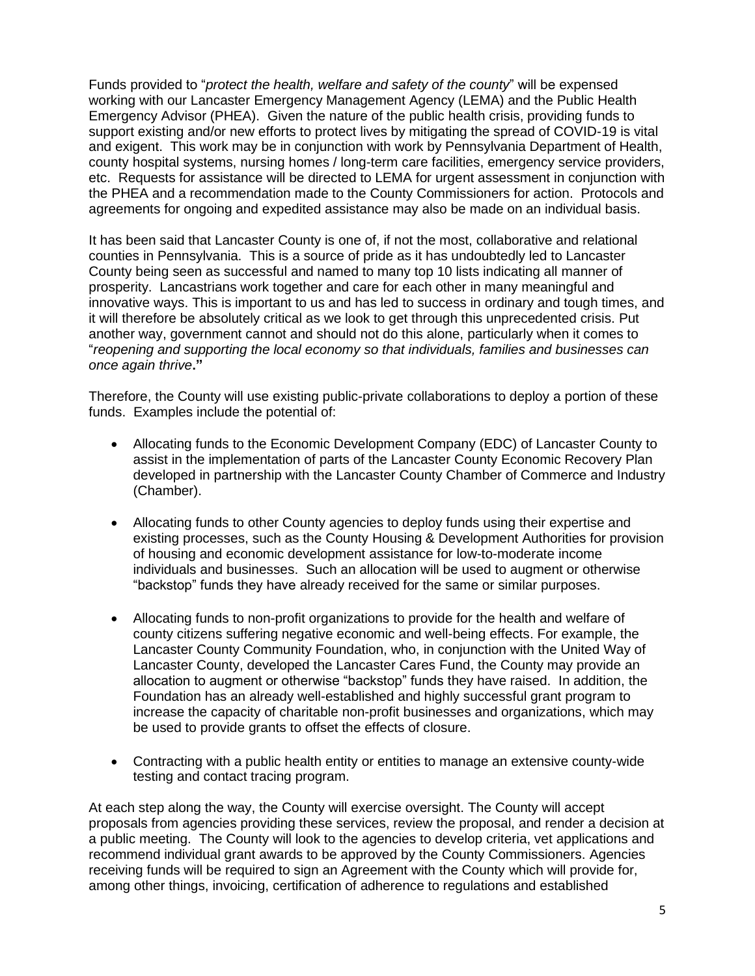Funds provided to "*protect the health, welfare and safety of the county*" will be expensed working with our Lancaster Emergency Management Agency (LEMA) and the Public Health Emergency Advisor (PHEA). Given the nature of the public health crisis, providing funds to support existing and/or new efforts to protect lives by mitigating the spread of COVID-19 is vital and exigent. This work may be in conjunction with work by Pennsylvania Department of Health, county hospital systems, nursing homes / long-term care facilities, emergency service providers, etc. Requests for assistance will be directed to LEMA for urgent assessment in conjunction with the PHEA and a recommendation made to the County Commissioners for action. Protocols and agreements for ongoing and expedited assistance may also be made on an individual basis.

It has been said that Lancaster County is one of, if not the most, collaborative and relational counties in Pennsylvania. This is a source of pride as it has undoubtedly led to Lancaster County being seen as successful and named to many top 10 lists indicating all manner of prosperity. Lancastrians work together and care for each other in many meaningful and innovative ways. This is important to us and has led to success in ordinary and tough times, and it will therefore be absolutely critical as we look to get through this unprecedented crisis. Put another way, government cannot and should not do this alone, particularly when it comes to "*reopening and supporting the local economy so that individuals, families and businesses can once again thrive***."**

Therefore, the County will use existing public-private collaborations to deploy a portion of these funds. Examples include the potential of:

- Allocating funds to the Economic Development Company (EDC) of Lancaster County to assist in the implementation of parts of the Lancaster County Economic Recovery Plan developed in partnership with the Lancaster County Chamber of Commerce and Industry (Chamber).
- Allocating funds to other County agencies to deploy funds using their expertise and existing processes, such as the County Housing & Development Authorities for provision of housing and economic development assistance for low-to-moderate income individuals and businesses. Such an allocation will be used to augment or otherwise "backstop" funds they have already received for the same or similar purposes.
- Allocating funds to non-profit organizations to provide for the health and welfare of county citizens suffering negative economic and well-being effects. For example, the Lancaster County Community Foundation, who, in conjunction with the United Way of Lancaster County, developed the Lancaster Cares Fund, the County may provide an allocation to augment or otherwise "backstop" funds they have raised. In addition, the Foundation has an already well-established and highly successful grant program to increase the capacity of charitable non-profit businesses and organizations, which may be used to provide grants to offset the effects of closure.
- Contracting with a public health entity or entities to manage an extensive county-wide testing and contact tracing program.

At each step along the way, the County will exercise oversight. The County will accept proposals from agencies providing these services, review the proposal, and render a decision at a public meeting. The County will look to the agencies to develop criteria, vet applications and recommend individual grant awards to be approved by the County Commissioners. Agencies receiving funds will be required to sign an Agreement with the County which will provide for, among other things, invoicing, certification of adherence to regulations and established